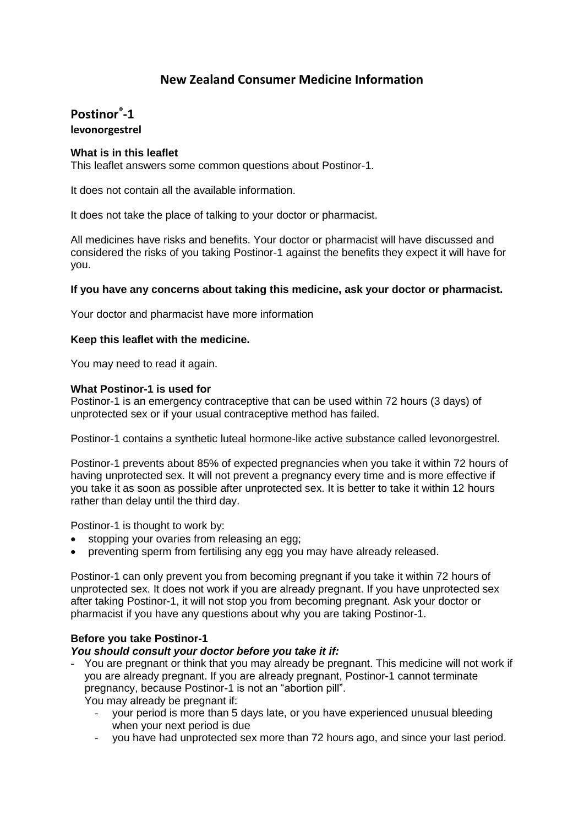# **New Zealand Consumer Medicine Information**

# **Postinor® -1 levonorgestrel**

## **What is in this leaflet**

This leaflet answers some common questions about Postinor-1.

It does not contain all the available information.

It does not take the place of talking to your doctor or pharmacist.

All medicines have risks and benefits. Your doctor or pharmacist will have discussed and considered the risks of you taking Postinor-1 against the benefits they expect it will have for you.

## **If you have any concerns about taking this medicine, ask your doctor or pharmacist.**

Your doctor and pharmacist have more information

## **Keep this leaflet with the medicine.**

You may need to read it again.

## **What Postinor-1 is used for**

Postinor-1 is an emergency contraceptive that can be used within 72 hours (3 days) of unprotected sex or if your usual contraceptive method has failed.

Postinor-1 contains a synthetic luteal hormone-like active substance called levonorgestrel.

Postinor-1 prevents about 85% of expected pregnancies when you take it within 72 hours of having unprotected sex. It will not prevent a pregnancy every time and is more effective if you take it as soon as possible after unprotected sex. It is better to take it within 12 hours rather than delay until the third day.

Postinor-1 is thought to work by:

- stopping your ovaries from releasing an egg;
- preventing sperm from fertilising any egg you may have already released.

Postinor-1 can only prevent you from becoming pregnant if you take it within 72 hours of unprotected sex. It does not work if you are already pregnant. If you have unprotected sex after taking Postinor-1, it will not stop you from becoming pregnant. Ask your doctor or pharmacist if you have any questions about why you are taking Postinor-1.

# **Before you take Postinor-1**

## *You should consult your doctor before you take it if:*

- You are pregnant or think that you may already be pregnant. This medicine will not work if you are already pregnant. If you are already pregnant, Postinor-1 cannot terminate pregnancy, because Postinor-1 is not an "abortion pill".

You may already be pregnant if:

- your period is more than 5 days late, or you have experienced unusual bleeding when your next period is due
- you have had unprotected sex more than 72 hours ago, and since your last period.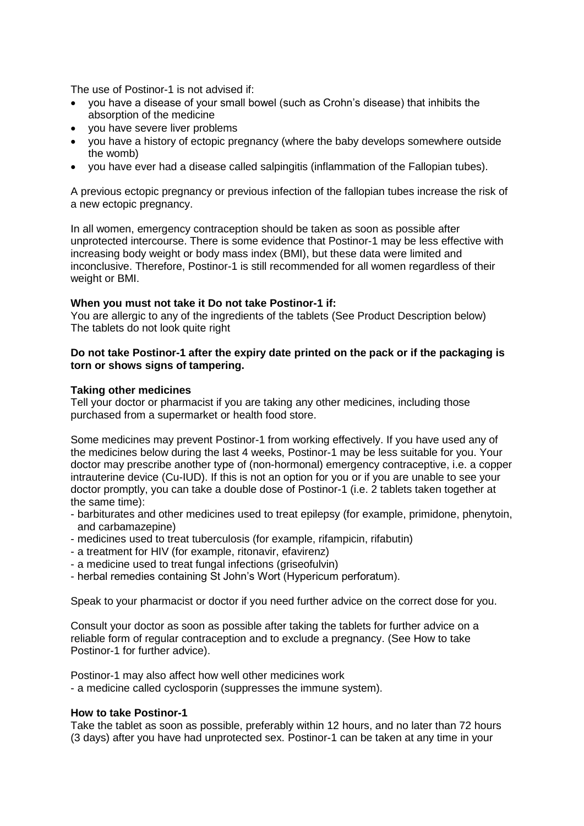The use of Postinor-1 is not advised if:

- you have a disease of your small bowel (such as Crohn's disease) that inhibits the absorption of the medicine
- you have severe liver problems
- you have a history of ectopic pregnancy (where the baby develops somewhere outside the womb)
- you have ever had a disease called salpingitis (inflammation of the Fallopian tubes).

A previous ectopic pregnancy or previous infection of the fallopian tubes increase the risk of a new ectopic pregnancy.

In all women, emergency contraception should be taken as soon as possible after unprotected intercourse. There is some evidence that Postinor-1 may be less effective with increasing body weight or body mass index (BMI), but these data were limited and inconclusive. Therefore, Postinor-1 is still recommended for all women regardless of their weight or BMI.

## **When you must not take it Do not take Postinor-1 if:**

You are allergic to any of the ingredients of the tablets (See Product Description below) The tablets do not look quite right

## **Do not take Postinor-1 after the expiry date printed on the pack or if the packaging is torn or shows signs of tampering.**

## **Taking other medicines**

Tell your doctor or pharmacist if you are taking any other medicines, including those purchased from a supermarket or health food store.

Some medicines may prevent Postinor-1 from working effectively. If you have used any of the medicines below during the last 4 weeks, Postinor-1 may be less suitable for you. Your doctor may prescribe another type of (non-hormonal) emergency contraceptive, i.e. a copper intrauterine device (Cu-IUD). If this is not an option for you or if you are unable to see your doctor promptly, you can take a double dose of Postinor-1 (i.e. 2 tablets taken together at the same time):

- barbiturates and other medicines used to treat epilepsy (for example, primidone, phenytoin, and carbamazepine)
- medicines used to treat tuberculosis (for example, rifampicin, rifabutin)
- a treatment for HIV (for example, ritonavir, efavirenz)
- a medicine used to treat fungal infections (griseofulvin)
- herbal remedies containing St John's Wort (Hypericum perforatum).

Speak to your pharmacist or doctor if you need further advice on the correct dose for you.

Consult your doctor as soon as possible after taking the tablets for further advice on a reliable form of regular contraception and to exclude a pregnancy. (See How to take Postinor-1 for further advice).

Postinor-1 may also affect how well other medicines work

# - a medicine called cyclosporin (suppresses the immune system).

# **How to take Postinor-1**

Take the tablet as soon as possible, preferably within 12 hours, and no later than 72 hours (3 days) after you have had unprotected sex. Postinor-1 can be taken at any time in your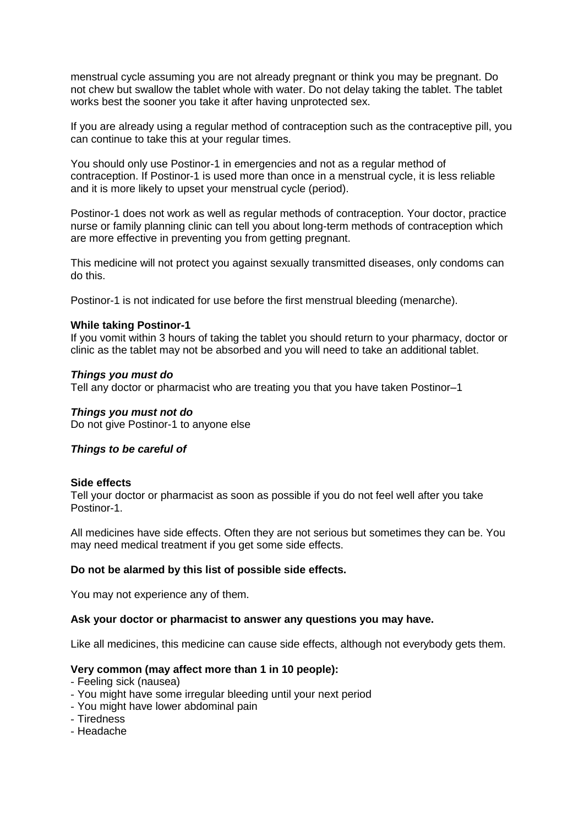menstrual cycle assuming you are not already pregnant or think you may be pregnant. Do not chew but swallow the tablet whole with water. Do not delay taking the tablet. The tablet works best the sooner you take it after having unprotected sex.

If you are already using a regular method of contraception such as the contraceptive pill, you can continue to take this at your regular times.

You should only use Postinor-1 in emergencies and not as a regular method of contraception. If Postinor-1 is used more than once in a menstrual cycle, it is less reliable and it is more likely to upset your menstrual cycle (period).

Postinor-1 does not work as well as regular methods of contraception. Your doctor, practice nurse or family planning clinic can tell you about long-term methods of contraception which are more effective in preventing you from getting pregnant.

This medicine will not protect you against sexually transmitted diseases, only condoms can do this.

Postinor-1 is not indicated for use before the first menstrual bleeding (menarche).

## **While taking Postinor-1**

If you vomit within 3 hours of taking the tablet you should return to your pharmacy, doctor or clinic as the tablet may not be absorbed and you will need to take an additional tablet.

## *Things you must do*

Tell any doctor or pharmacist who are treating you that you have taken Postinor–1

## *Things you must not do*

Do not give Postinor-1 to anyone else

## *Things to be careful of*

## **Side effects**

Tell your doctor or pharmacist as soon as possible if you do not feel well after you take Postinor-1.

All medicines have side effects. Often they are not serious but sometimes they can be. You may need medical treatment if you get some side effects.

# **Do not be alarmed by this list of possible side effects.**

You may not experience any of them.

## **Ask your doctor or pharmacist to answer any questions you may have.**

Like all medicines, this medicine can cause side effects, although not everybody gets them.

## **Very common (may affect more than 1 in 10 people):**

- Feeling sick (nausea)
- You might have some irregular bleeding until your next period
- You might have lower abdominal pain
- Tiredness
- Headache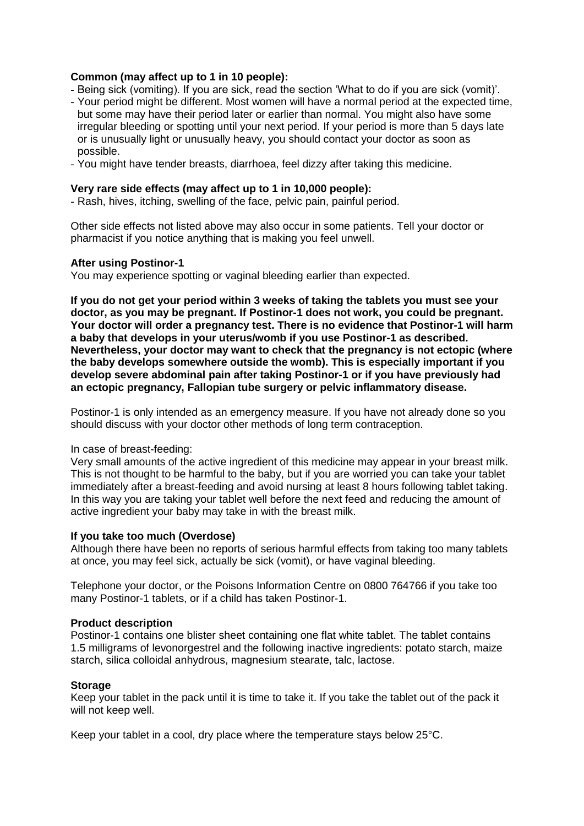## **Common (may affect up to 1 in 10 people):**

- Being sick (vomiting). If you are sick, read the section 'What to do if you are sick (vomit)'.
- Your period might be different. Most women will have a normal period at the expected time, but some may have their period later or earlier than normal. You might also have some irregular bleeding or spotting until your next period. If your period is more than 5 days late or is unusually light or unusually heavy, you should contact your doctor as soon as possible.
- You might have tender breasts, diarrhoea, feel dizzy after taking this medicine.

## **Very rare side effects (may affect up to 1 in 10,000 people):**

- Rash, hives, itching, swelling of the face, pelvic pain, painful period.

Other side effects not listed above may also occur in some patients. Tell your doctor or pharmacist if you notice anything that is making you feel unwell.

## **After using Postinor-1**

You may experience spotting or vaginal bleeding earlier than expected.

**If you do not get your period within 3 weeks of taking the tablets you must see your doctor, as you may be pregnant. If Postinor-1 does not work, you could be pregnant. Your doctor will order a pregnancy test. There is no evidence that Postinor-1 will harm a baby that develops in your uterus/womb if you use Postinor-1 as described. Nevertheless, your doctor may want to check that the pregnancy is not ectopic (where the baby develops somewhere outside the womb). This is especially important if you develop severe abdominal pain after taking Postinor-1 or if you have previously had an ectopic pregnancy, Fallopian tube surgery or pelvic inflammatory disease.**

Postinor-1 is only intended as an emergency measure. If you have not already done so you should discuss with your doctor other methods of long term contraception.

## In case of breast-feeding:

Very small amounts of the active ingredient of this medicine may appear in your breast milk. This is not thought to be harmful to the baby, but if you are worried you can take your tablet immediately after a breast-feeding and avoid nursing at least 8 hours following tablet taking. In this way you are taking your tablet well before the next feed and reducing the amount of active ingredient your baby may take in with the breast milk.

## **If you take too much (Overdose)**

Although there have been no reports of serious harmful effects from taking too many tablets at once, you may feel sick, actually be sick (vomit), or have vaginal bleeding.

Telephone your doctor, or the Poisons Information Centre on 0800 764766 if you take too many Postinor-1 tablets, or if a child has taken Postinor-1.

## **Product description**

Postinor-1 contains one blister sheet containing one flat white tablet. The tablet contains 1.5 milligrams of levonorgestrel and the following inactive ingredients: potato starch, maize starch, silica colloidal anhydrous, magnesium stearate, talc, lactose.

## **Storage**

Keep your tablet in the pack until it is time to take it. If you take the tablet out of the pack it will not keep well.

Keep your tablet in a cool, dry place where the temperature stays below 25°C.